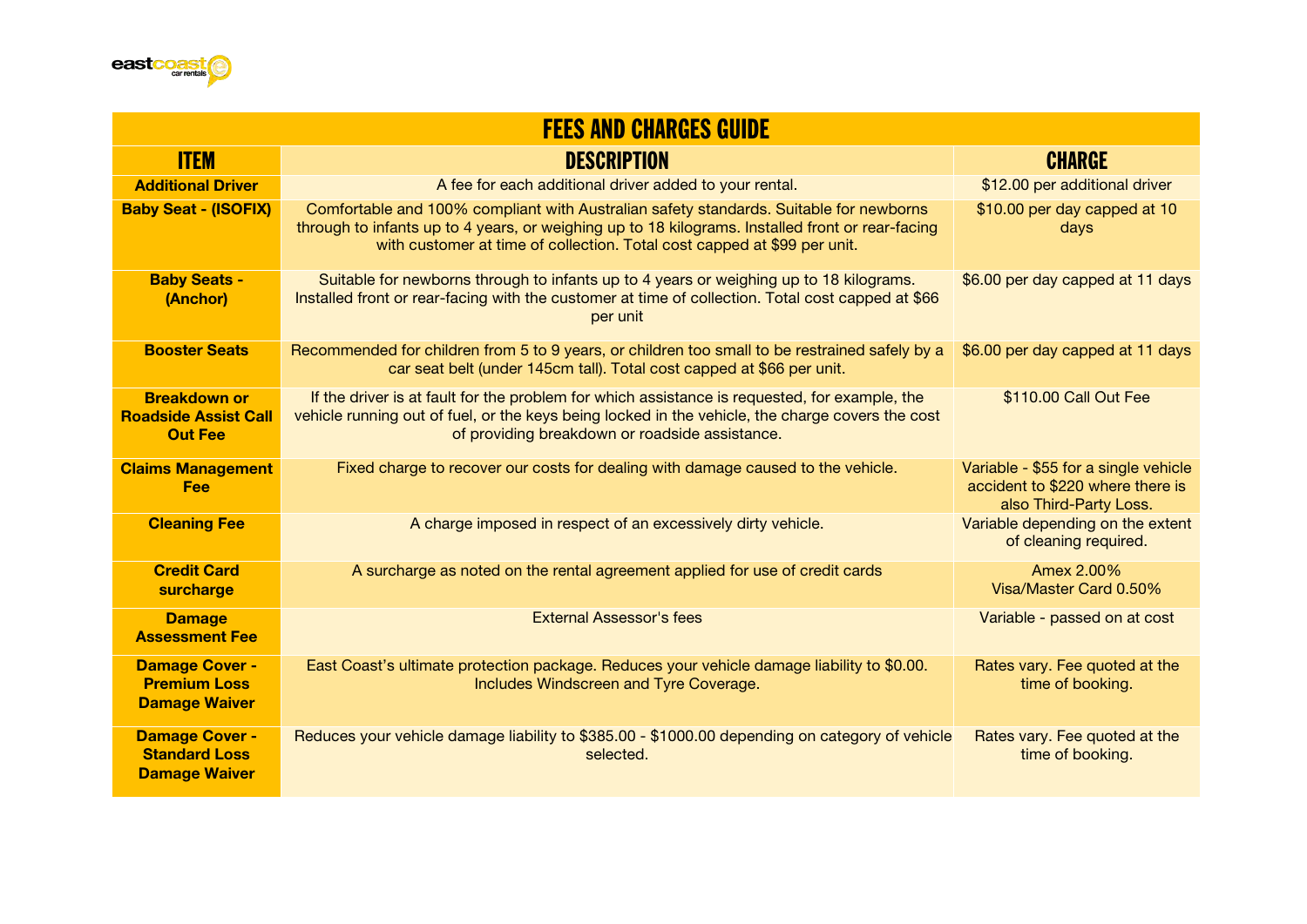

| <b>FEES AND CHARGES GUIDE</b>                                         |                                                                                                                                                                                                                                                                        |                                                                                                    |  |
|-----------------------------------------------------------------------|------------------------------------------------------------------------------------------------------------------------------------------------------------------------------------------------------------------------------------------------------------------------|----------------------------------------------------------------------------------------------------|--|
| <b>ITEM</b>                                                           | <b>DESCRIPTION</b>                                                                                                                                                                                                                                                     | <b>CHARGE</b>                                                                                      |  |
| <b>Additional Driver</b>                                              | A fee for each additional driver added to your rental.                                                                                                                                                                                                                 | \$12.00 per additional driver                                                                      |  |
| <b>Baby Seat - (ISOFIX)</b>                                           | Comfortable and 100% compliant with Australian safety standards. Suitable for newborns<br>through to infants up to 4 years, or weighing up to 18 kilograms. Installed front or rear-facing<br>with customer at time of collection. Total cost capped at \$99 per unit. | \$10.00 per day capped at 10<br>days                                                               |  |
| <b>Baby Seats -</b><br>(Anchor)                                       | Suitable for newborns through to infants up to 4 years or weighing up to 18 kilograms.<br>Installed front or rear-facing with the customer at time of collection. Total cost capped at \$66<br>per unit                                                                | \$6.00 per day capped at 11 days                                                                   |  |
| <b>Booster Seats</b>                                                  | Recommended for children from 5 to 9 years, or children too small to be restrained safely by a<br>car seat belt (under 145cm tall). Total cost capped at \$66 per unit.                                                                                                | \$6.00 per day capped at 11 days                                                                   |  |
| <b>Breakdown or</b><br><b>Roadside Assist Call</b><br><b>Out Fee</b>  | If the driver is at fault for the problem for which assistance is requested, for example, the<br>vehicle running out of fuel, or the keys being locked in the vehicle, the charge covers the cost<br>of providing breakdown or roadside assistance.                    | \$110.00 Call Out Fee                                                                              |  |
| <b>Claims Management</b><br><b>Fee</b>                                | Fixed charge to recover our costs for dealing with damage caused to the vehicle.                                                                                                                                                                                       | Variable - \$55 for a single vehicle<br>accident to \$220 where there is<br>also Third-Party Loss. |  |
| <b>Cleaning Fee</b>                                                   | A charge imposed in respect of an excessively dirty vehicle.                                                                                                                                                                                                           | Variable depending on the extent<br>of cleaning required.                                          |  |
| <b>Credit Card</b><br>surcharge                                       | A surcharge as noted on the rental agreement applied for use of credit cards                                                                                                                                                                                           | Amex 2.00%<br>Visa/Master Card 0.50%                                                               |  |
| <b>Damage</b><br><b>Assessment Fee</b>                                | <b>External Assessor's fees</b>                                                                                                                                                                                                                                        | Variable - passed on at cost                                                                       |  |
| <b>Damage Cover -</b><br><b>Premium Loss</b><br><b>Damage Waiver</b>  | East Coast's ultimate protection package. Reduces your vehicle damage liability to \$0.00.<br>Includes Windscreen and Tyre Coverage.                                                                                                                                   | Rates vary. Fee quoted at the<br>time of booking.                                                  |  |
| <b>Damage Cover -</b><br><b>Standard Loss</b><br><b>Damage Waiver</b> | Reduces your vehicle damage liability to \$385.00 - \$1000.00 depending on category of vehicle<br>selected.                                                                                                                                                            | Rates vary. Fee quoted at the<br>time of booking.                                                  |  |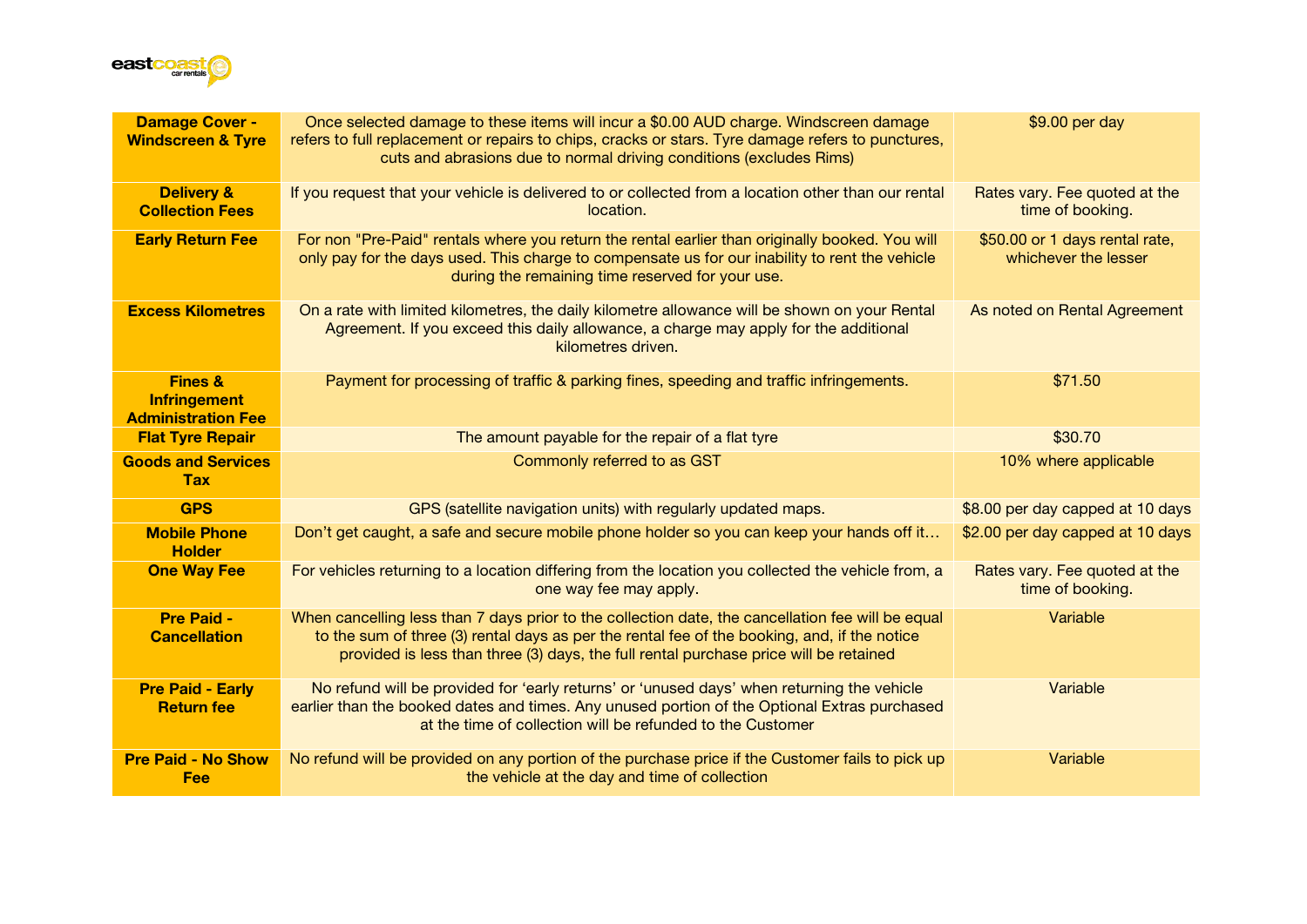

| <b>Damage Cover -</b><br><b>Windscreen &amp; Tyre</b>                  | Once selected damage to these items will incur a \$0.00 AUD charge. Windscreen damage<br>refers to full replacement or repairs to chips, cracks or stars. Tyre damage refers to punctures,<br>cuts and abrasions due to normal driving conditions (excludes Rims)                          | \$9.00 per day                                         |
|------------------------------------------------------------------------|--------------------------------------------------------------------------------------------------------------------------------------------------------------------------------------------------------------------------------------------------------------------------------------------|--------------------------------------------------------|
| <b>Delivery &amp;</b><br><b>Collection Fees</b>                        | If you request that your vehicle is delivered to or collected from a location other than our rental<br>location.                                                                                                                                                                           | Rates vary. Fee quoted at the<br>time of booking.      |
| <b>Early Return Fee</b>                                                | For non "Pre-Paid" rentals where you return the rental earlier than originally booked. You will<br>only pay for the days used. This charge to compensate us for our inability to rent the vehicle<br>during the remaining time reserved for your use.                                      | \$50.00 or 1 days rental rate,<br>whichever the lesser |
| <b>Excess Kilometres</b>                                               | On a rate with limited kilometres, the daily kilometre allowance will be shown on your Rental<br>Agreement. If you exceed this daily allowance, a charge may apply for the additional<br>kilometres driven.                                                                                | As noted on Rental Agreement                           |
| <b>Fines &amp;</b><br><b>Infringement</b><br><b>Administration Fee</b> | Payment for processing of traffic & parking fines, speeding and traffic infringements.                                                                                                                                                                                                     | \$71.50                                                |
| <b>Flat Tyre Repair</b>                                                | The amount payable for the repair of a flat tyre                                                                                                                                                                                                                                           | \$30.70                                                |
| <b>Goods and Services</b><br><b>Tax</b>                                | Commonly referred to as GST                                                                                                                                                                                                                                                                | 10% where applicable                                   |
| <b>GPS</b>                                                             | GPS (satellite navigation units) with regularly updated maps.                                                                                                                                                                                                                              | \$8.00 per day capped at 10 days                       |
| <b>Mobile Phone</b><br><b>Holder</b>                                   | Don't get caught, a safe and secure mobile phone holder so you can keep your hands off it                                                                                                                                                                                                  | \$2.00 per day capped at 10 days                       |
| <b>One Way Fee</b>                                                     | For vehicles returning to a location differing from the location you collected the vehicle from, a<br>one way fee may apply.                                                                                                                                                               | Rates vary. Fee quoted at the<br>time of booking.      |
| <b>Pre Paid -</b><br><b>Cancellation</b>                               | When cancelling less than 7 days prior to the collection date, the cancellation fee will be equal<br>to the sum of three (3) rental days as per the rental fee of the booking, and, if the notice<br>provided is less than three (3) days, the full rental purchase price will be retained | Variable                                               |
| <b>Pre Paid - Early</b><br><b>Return fee</b>                           | No refund will be provided for 'early returns' or 'unused days' when returning the vehicle<br>earlier than the booked dates and times. Any unused portion of the Optional Extras purchased<br>at the time of collection will be refunded to the Customer                                   | Variable                                               |
| <b>Pre Paid - No Show</b><br>Fee                                       | No refund will be provided on any portion of the purchase price if the Customer fails to pick up<br>the vehicle at the day and time of collection                                                                                                                                          | Variable                                               |